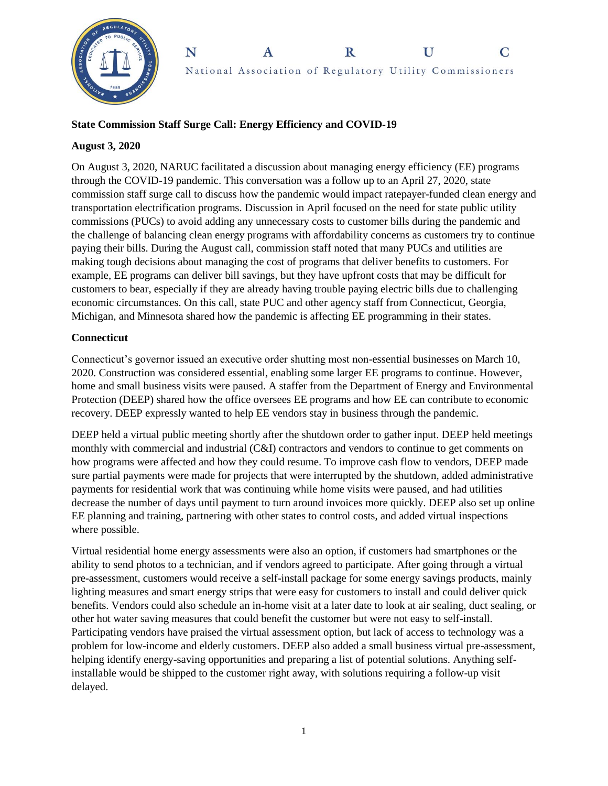

#### N  $\mathbf R$  $\mathbf{U}$  $\mathbf C$ A National Association of Regulatory Utility Commissioners

## **State Commission Staff Surge Call: Energy Efficiency and COVID-19**

#### **August 3, 2020**

On August 3, 2020, NARUC facilitated a discussion about managing energy efficiency (EE) programs through the COVID-19 pandemic. This conversation was a follow up to an April 27, 2020, state commission staff surge call to discuss how the pandemic would impact ratepayer-funded clean energy and transportation electrification programs. Discussion in April focused on the need for state public utility commissions (PUCs) to avoid adding any unnecessary costs to customer bills during the pandemic and the challenge of balancing clean energy programs with affordability concerns as customers try to continue paying their bills. During the August call, commission staff noted that many PUCs and utilities are making tough decisions about managing the cost of programs that deliver benefits to customers. For example, EE programs can deliver bill savings, but they have upfront costs that may be difficult for customers to bear, especially if they are already having trouble paying electric bills due to challenging economic circumstances. On this call, state PUC and other agency staff from Connecticut, Georgia, Michigan, and Minnesota shared how the pandemic is affecting EE programming in their states.

## **Connecticut**

Connecticut's governor issued an executive order shutting most non-essential businesses on March 10, 2020. Construction was considered essential, enabling some larger EE programs to continue. However, home and small business visits were paused. A staffer from the Department of Energy and Environmental Protection (DEEP) shared how the office oversees EE programs and how EE can contribute to economic recovery. DEEP expressly wanted to help EE vendors stay in business through the pandemic.

DEEP held a virtual public meeting shortly after the shutdown order to gather input. DEEP held meetings monthly with commercial and industrial (C&I) contractors and vendors to continue to get comments on how programs were affected and how they could resume. To improve cash flow to vendors, DEEP made sure partial payments were made for projects that were interrupted by the shutdown, added administrative payments for residential work that was continuing while home visits were paused, and had utilities decrease the number of days until payment to turn around invoices more quickly. DEEP also set up online EE planning and training, partnering with other states to control costs, and added virtual inspections where possible.

Virtual residential home energy assessments were also an option, if customers had smartphones or the ability to send photos to a technician, and if vendors agreed to participate. After going through a virtual pre-assessment, customers would receive a self-install package for some energy savings products, mainly lighting measures and smart energy strips that were easy for customers to install and could deliver quick benefits. Vendors could also schedule an in-home visit at a later date to look at air sealing, duct sealing, or other hot water saving measures that could benefit the customer but were not easy to self-install. Participating vendors have praised the virtual assessment option, but lack of access to technology was a problem for low-income and elderly customers. DEEP also added a small business virtual pre-assessment, helping identify energy-saving opportunities and preparing a list of potential solutions. Anything selfinstallable would be shipped to the customer right away, with solutions requiring a follow-up visit delayed.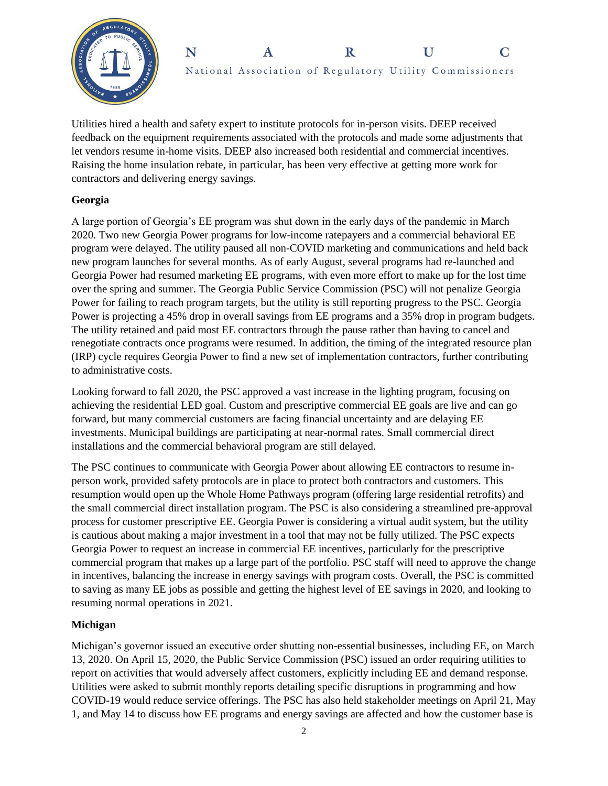



Utilities hired a health and safety expert to institute protocols for in-person visits. DEEP received feedback on the equipment requirements associated with the protocols and made some adjustments that let vendors resume in-home visits. DEEP also increased both residential and commercial incentives. Raising the home insulation rebate, in particular, has been very effective at getting more work for contractors and delivering energy savings.

## **Georgia**

A large portion of Georgia's EE program was shut down in the early days of the pandemic in March 2020. Two new Georgia Power programs for low-income ratepayers and a commercial behavioral EE program were delayed. The utility paused all non-COVID marketing and communications and held back new program launches for several months. As of early August, several programs had re-launched and Georgia Power had resumed marketing EE programs, with even more effort to make up for the lost time over the spring and summer. The Georgia Public Service Commission (PSC) will not penalize Georgia Power for failing to reach program targets, but the utility is still reporting progress to the PSC. Georgia Power is projecting a 45% drop in overall savings from EE programs and a 35% drop in program budgets. The utility retained and paid most EE contractors through the pause rather than having to cancel and renegotiate contracts once programs were resumed. In addition, the timing of the integrated resource plan (IRP) cycle requires Georgia Power to find a new set of implementation contractors, further contributing to administrative costs.

Looking forward to fall 2020, the PSC approved a vast increase in the lighting program, focusing on achieving the residential LED goal. Custom and prescriptive commercial EE goals are live and can go forward, but many commercial customers are facing financial uncertainty and are delaying EE investments. Municipal buildings are participating at near-normal rates. Small commercial direct installations and the commercial behavioral program are still delayed.

The PSC continues to communicate with Georgia Power about allowing EE contractors to resume inperson work, provided safety protocols are in place to protect both contractors and customers. This resumption would open up the Whole Home Pathways program (offering large residential retrofits) and the small commercial direct installation program. The PSC is also considering a streamlined pre-approval process for customer prescriptive EE. Georgia Power is considering a virtual audit system, but the utility is cautious about making a major investment in a tool that may not be fully utilized. The PSC expects Georgia Power to request an increase in commercial EE incentives, particularly for the prescriptive commercial program that makes up a large part of the portfolio. PSC staff will need to approve the change in incentives, balancing the increase in energy savings with program costs. Overall, the PSC is committed to saving as many EE jobs as possible and getting the highest level of EE savings in 2020, and looking to resuming normal operations in 2021.

# **Michigan**

Michigan's governor issued an executive order shutting non-essential businesses, including EE, on March 13, 2020. On April 15, 2020, the Public Service Commission (PSC) issued an order requiring utilities to report on activities that would adversely affect customers, explicitly including EE and demand response. Utilities were asked to submit monthly reports detailing specific disruptions in programming and how COVID-19 would reduce service offerings. The PSC has also held stakeholder meetings on April 21, May 1, and May 14 to discuss how EE programs and energy savings are affected and how the customer base is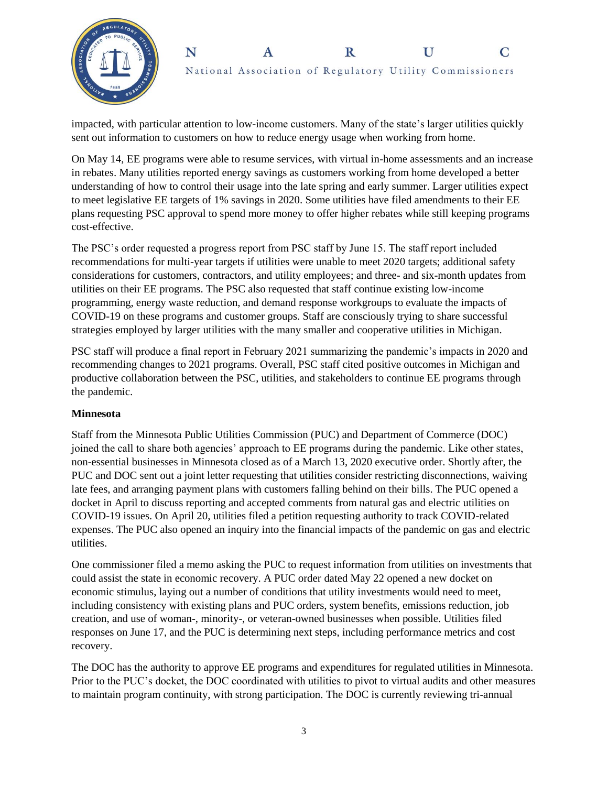



impacted, with particular attention to low-income customers. Many of the state's larger utilities quickly sent out information to customers on how to reduce energy usage when working from home.

On May 14, EE programs were able to resume services, with virtual in-home assessments and an increase in rebates. Many utilities reported energy savings as customers working from home developed a better understanding of how to control their usage into the late spring and early summer. Larger utilities expect to meet legislative EE targets of 1% savings in 2020. Some utilities have filed amendments to their EE plans requesting PSC approval to spend more money to offer higher rebates while still keeping programs cost-effective.

The PSC's order requested a progress report from PSC staff by June 15. The staff report included recommendations for multi-year targets if utilities were unable to meet 2020 targets; additional safety considerations for customers, contractors, and utility employees; and three- and six-month updates from utilities on their EE programs. The PSC also requested that staff continue existing low-income programming, energy waste reduction, and demand response workgroups to evaluate the impacts of COVID-19 on these programs and customer groups. Staff are consciously trying to share successful strategies employed by larger utilities with the many smaller and cooperative utilities in Michigan.

PSC staff will produce a final report in February 2021 summarizing the pandemic's impacts in 2020 and recommending changes to 2021 programs. Overall, PSC staff cited positive outcomes in Michigan and productive collaboration between the PSC, utilities, and stakeholders to continue EE programs through the pandemic.

## **Minnesota**

Staff from the Minnesota Public Utilities Commission (PUC) and Department of Commerce (DOC) joined the call to share both agencies' approach to EE programs during the pandemic. Like other states, non-essential businesses in Minnesota closed as of a March 13, 2020 executive order. Shortly after, the PUC and DOC sent out a joint letter requesting that utilities consider restricting disconnections, waiving late fees, and arranging payment plans with customers falling behind on their bills. The PUC opened a docket in April to discuss reporting and accepted comments from natural gas and electric utilities on COVID-19 issues. On April 20, utilities filed a petition requesting authority to track COVID-related expenses. The PUC also opened an inquiry into the financial impacts of the pandemic on gas and electric utilities.

One commissioner filed a memo asking the PUC to request information from utilities on investments that could assist the state in economic recovery. A PUC order dated May 22 opened a new docket on economic stimulus, laying out a number of conditions that utility investments would need to meet, including consistency with existing plans and PUC orders, system benefits, emissions reduction, job creation, and use of woman-, minority-, or veteran-owned businesses when possible. Utilities filed responses on June 17, and the PUC is determining next steps, including performance metrics and cost recovery.

The DOC has the authority to approve EE programs and expenditures for regulated utilities in Minnesota. Prior to the PUC's docket, the DOC coordinated with utilities to pivot to virtual audits and other measures to maintain program continuity, with strong participation. The DOC is currently reviewing tri-annual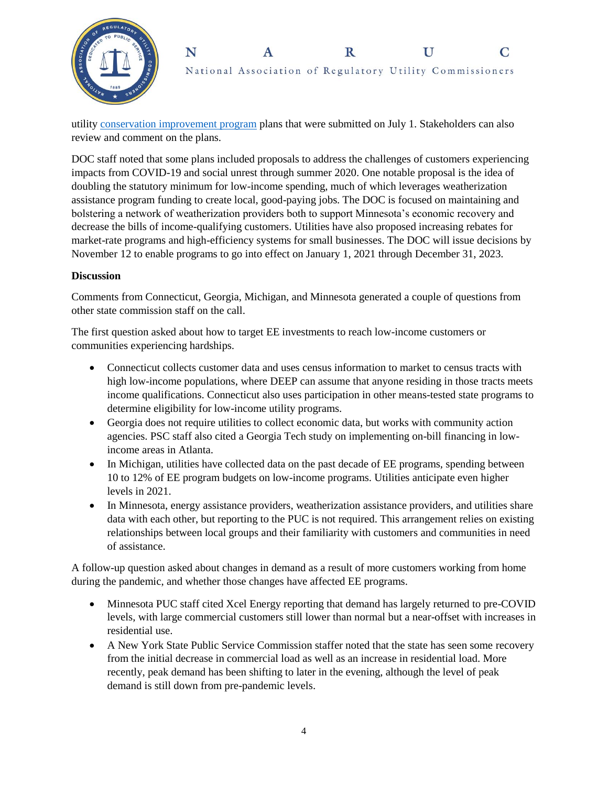



utility [conservation improvement program](https://mn.gov/commerce/industries/energy/utilities/cip/planning-policy/) plans that were submitted on July 1. Stakeholders can also review and comment on the plans.

DOC staff noted that some plans included proposals to address the challenges of customers experiencing impacts from COVID-19 and social unrest through summer 2020. One notable proposal is the idea of doubling the statutory minimum for low-income spending, much of which leverages weatherization assistance program funding to create local, good-paying jobs. The DOC is focused on maintaining and bolstering a network of weatherization providers both to support Minnesota's economic recovery and decrease the bills of income-qualifying customers. Utilities have also proposed increasing rebates for market-rate programs and high-efficiency systems for small businesses. The DOC will issue decisions by November 12 to enable programs to go into effect on January 1, 2021 through December 31, 2023.

#### **Discussion**

Comments from Connecticut, Georgia, Michigan, and Minnesota generated a couple of questions from other state commission staff on the call.

The first question asked about how to target EE investments to reach low-income customers or communities experiencing hardships.

- Connecticut collects customer data and uses census information to market to census tracts with high low-income populations, where DEEP can assume that anyone residing in those tracts meets income qualifications. Connecticut also uses participation in other means-tested state programs to determine eligibility for low-income utility programs.
- Georgia does not require utilities to collect economic data, but works with community action agencies. PSC staff also cited a Georgia Tech study on implementing on-bill financing in lowincome areas in Atlanta.
- In Michigan, utilities have collected data on the past decade of EE programs, spending between 10 to 12% of EE program budgets on low-income programs. Utilities anticipate even higher levels in 2021.
- In Minnesota, energy assistance providers, weatherization assistance providers, and utilities share data with each other, but reporting to the PUC is not required. This arrangement relies on existing relationships between local groups and their familiarity with customers and communities in need of assistance.

A follow-up question asked about changes in demand as a result of more customers working from home during the pandemic, and whether those changes have affected EE programs.

- Minnesota PUC staff cited Xcel Energy reporting that demand has largely returned to pre-COVID levels, with large commercial customers still lower than normal but a near-offset with increases in residential use.
- A New York State Public Service Commission staffer noted that the state has seen some recovery from the initial decrease in commercial load as well as an increase in residential load. More recently, peak demand has been shifting to later in the evening, although the level of peak demand is still down from pre-pandemic levels.